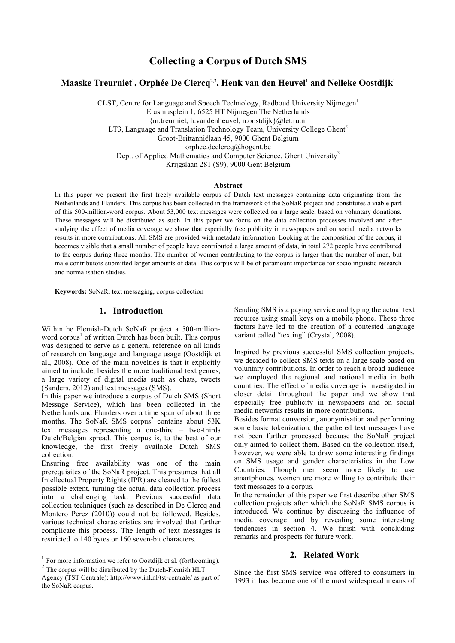# **Collecting a Corpus of Dutch SMS**

## $\mathbf{M}$ aaske Treurniet<sup>1</sup>, Orphée De Clercq<sup>2,3</sup>, Henk van den Heuvel<sup>1</sup> and Nelleke Oostdijk<sup>1</sup>

CLST, Centre for Language and Speech Technology, Radboud University Nijmegen<sup>1</sup> Erasmusplein 1, 6525 HT Nijmegen The Netherlands {m.treurniet, h.vandenheuvel, n.oostdijk}@let.ru.nl LT3, Language and Translation Technology Team, University College Ghent<sup>2</sup> Groot-Brittanniëlaan 45, 9000 Ghent Belgium orphee.declercq@hogent.be Dept. of Applied Mathematics and Computer Science, Ghent University<sup>3</sup> Krijgslaan 281 (S9), 9000 Gent Belgium

#### **Abstract**

In this paper we present the first freely available corpus of Dutch text messages containing data originating from the Netherlands and Flanders. This corpus has been collected in the framework of the SoNaR project and constitutes a viable part of this 500-million-word corpus. About 53,000 text messages were collected on a large scale, based on voluntary donations. These messages will be distributed as such. In this paper we focus on the data collection processes involved and after studying the effect of media coverage we show that especially free publicity in newspapers and on social media networks results in more contributions. All SMS are provided with metadata information. Looking at the composition of the corpus, it becomes visible that a small number of people have contributed a large amount of data, in total 272 people have contributed to the corpus during three months. The number of women contributing to the corpus is larger than the number of men, but male contributors submitted larger amounts of data. This corpus will be of paramount importance for sociolinguistic research and normalisation studies.

**Keywords:** SoNaR, text messaging, corpus collection

#### **1. Introduction**

Within he Flemish-Dutch SoNaR project a 500-millionword corpus<sup>1</sup> of written Dutch has been built. This corpus was designed to serve as a general reference on all kinds of research on language and language usage (Oostdijk et al., 2008). One of the main novelties is that it explicitly aimed to include, besides the more traditional text genres, a large variety of digital media such as chats, tweets (Sanders, 2012) and text messages (SMS).

In this paper we introduce a corpus of Dutch SMS (Short Message Service), which has been collected in the Netherlands and Flanders over a time span of about three months. The SoNaR SMS corpus<sup>2</sup> contains about  $53K$ text messages representing a one-third – two-thirds Dutch/Belgian spread. This corpus is, to the best of our knowledge, the first freely available Dutch SMS collection.

Ensuring free availability was one of the main prerequisites of the SoNaR project. This presumes that all Intellectual Property Rights (IPR) are cleared to the fullest possible extent, turning the actual data collection process into a challenging task. Previous successful data collection techniques (such as described in De Clercq and Montero Perez (2010)) could not be followed. Besides, various technical characteristics are involved that further complicate this process. The length of text messages is restricted to 140 bytes or 160 seven-bit characters.

Sending SMS is a paying service and typing the actual text requires using small keys on a mobile phone. These three factors have led to the creation of a contested language variant called "texting" (Crystal, 2008).

Inspired by previous successful SMS collection projects, we decided to collect SMS texts on a large scale based on voluntary contributions. In order to reach a broad audience we employed the regional and national media in both countries. The effect of media coverage is investigated in closer detail throughout the paper and we show that especially free publicity in newspapers and on social media networks results in more contributions.

Besides format conversion, anonymisation and performing some basic tokenization, the gathered text messages have not been further processed because the SoNaR project only aimed to collect them. Based on the collection itself, however, we were able to draw some interesting findings on SMS usage and gender characteristics in the Low Countries. Though men seem more likely to use smartphones, women are more willing to contribute their text messages to a corpus.

In the remainder of this paper we first describe other SMS collection projects after which the SoNaR SMS corpus is introduced. We continue by discussing the influence of media coverage and by revealing some interesting tendencies in section 4. We finish with concluding remarks and prospects for future work.

#### **2. Related Work**

Since the first SMS service was offered to consumers in 1993 it has become one of the most widespread means of

 $1$  For more information we refer to Oostdijk et al. (forthcoming).

<sup>&</sup>lt;sup>2</sup> The corpus will be distributed by the Dutch-Flemish HLT Agency (TST Centrale): http://www.inl.nl/tst-centrale/ as part of the SoNaR corpus.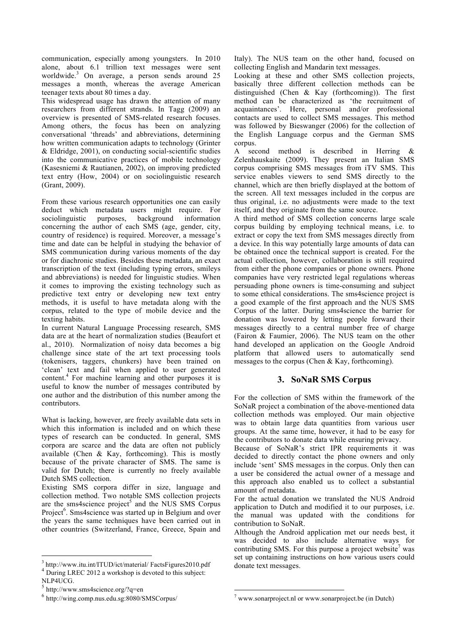communication, especially among youngsters. In 2010 alone, about 6.1 trillion text messages were sent worldwide. <sup>3</sup> On average, a person sends around 25 messages a month, whereas the average American teenager texts about 80 times a day.

This widespread usage has drawn the attention of many researchers from different strands. In Tagg (2009) an overview is presented of SMS-related research focuses. Among others, the focus has been on analyzing conversational 'threads' and abbreviations, determining how written communication adapts to technology (Grinter & Eldridge, 2001), on conducting social-scientific studies into the communicative practices of mobile technology (Kasesniemi & Rautianen, 2002), on improving predicted text entry (How, 2004) or on sociolinguistic research (Grant, 2009).

From these various research opportunities one can easily deduct which metadata users might require. For sociolinguistic purposes, background information concerning the author of each SMS (age, gender, city, country of residence) is required. Moreover, a message's time and date can be helpful in studying the behavior of SMS communication during various moments of the day or for diachronic studies. Besides these metadata, an exact transcription of the text (including typing errors, smileys and abbreviations) is needed for linguistic studies. When it comes to improving the existing technology such as predictive text entry or developing new text entry methods, it is useful to have metadata along with the corpus, related to the type of mobile device and the texting habits.

In current Natural Language Processing research, SMS data are at the heart of normalization studies (Beaufort et al., 2010). Normalization of noisy data becomes a big challenge since state of the art text processing tools (tokenisers, taggers, chunkers) have been trained on 'clean' text and fail when applied to user generated content. <sup>4</sup> For machine learning and other purposes it is useful to know the number of messages contributed by one author and the distribution of this number among the contributors.

What is lacking, however, are freely available data sets in which this information is included and on which these types of research can be conducted. In general, SMS corpora are scarce and the data are often not publicly available (Chen & Kay, forthcoming). This is mostly because of the private character of SMS. The same is valid for Dutch; there is currently no freely available Dutch SMS collection.

Existing SMS corpora differ in size, language and collection method. Two notable SMS collection projects are the sms4science project<sup>5</sup> and the NUS SMS Corpus Project<sup>6</sup>. Sms4science was started up in Belgium and over the years the same techniques have been carried out in other countries (Switzerland, France, Greece, Spain and Italy). The NUS team on the other hand, focused on collecting English and Mandarin text messages.

Looking at these and other SMS collection projects, basically three different collection methods can be distinguished (Chen & Kay (forthcoming)). The first method can be characterized as 'the recruitment of acquaintances'. Here, personal and/or professional contacts are used to collect SMS messages. This method was followed by Bieswanger (2006) for the collection of the English Language corpus and the German SMS corpus.

A second method is described in Herring & Zelenhauskaite (2009). They present an Italian SMS corpus comprising SMS messages from iTV SMS. This service enables viewers to send SMS directly to the channel, which are then briefly displayed at the bottom of the screen. All text messages included in the corpus are thus original, i.e. no adjustments were made to the text itself, and they originate from the same source.

A third method of SMS collection concerns large scale corpus building by employing technical means, i.e. to extract or copy the text from SMS messages directly from a device. In this way potentially large amounts of data can be obtained once the technical support is created. For the actual collection, however, collaboration is still required from either the phone companies or phone owners. Phone companies have very restricted legal regulations whereas persuading phone owners is time-consuming and subject to some ethical considerations. The sms4science project is a good example of the first approach and the NUS SMS Corpus of the latter. During sms4science the barrier for donation was lowered by letting people forward their messages directly to a central number free of charge (Fairon & Faumier, 2006). The NUS team on the other hand developed an application on the Google Android platform that allowed users to automatically send messages to the corpus (Chen & Kay, forthcoming).

### **3. SoNaR SMS Corpus**

For the collection of SMS within the framework of the SoNaR project a combination of the above-mentioned data collection methods was employed. Our main objective was to obtain large data quantities from various user groups. At the same time, however, it had to be easy for the contributors to donate data while ensuring privacy.

Because of SoNaR's strict IPR requirements it was decided to directly contact the phone owners and only include 'sent' SMS messages in the corpus. Only then can a user be considered the actual owner of a message and this approach also enabled us to collect a substantial amount of metadata.

For the actual donation we translated the NUS Android application to Dutch and modified it to our purposes, i.e. the manual was updated with the conditions for contribution to SoNaR.

Although the Android application met our needs best, it was decided to also include alternative ways for contributing SMS. For this purpose a project website<sup>7</sup> was set up containing instructions on how various users could donate text messages.

 $^3$ http://www.itu.int/ITUD/ict/material/ FactsFigures2010.pdf  $^4$  During LREC 2012 a workshop is devoted to this subject: NLP4UCG.

 $5 \text{ http://www.sms4science.org/?q=en}$ 

<sup>6</sup> http://wing.comp.nus.edu.sg:8080/SMSCorpus/

 $\frac{7}{1}$  www.sonarproject.nl or www.sonarproject.be (in Dutch)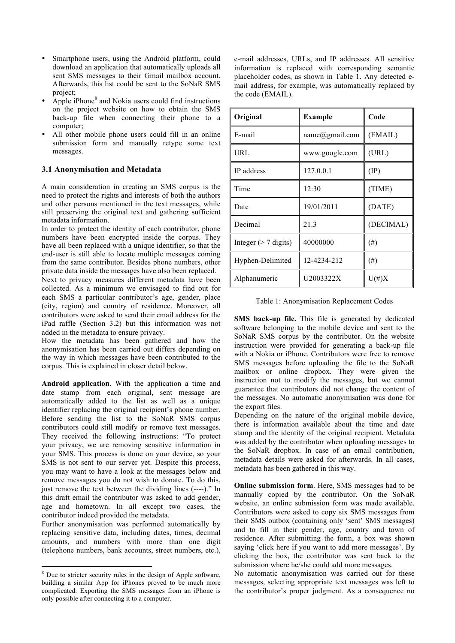- Smartphone users, using the Android platform, could download an application that automatically uploads all sent SMS messages to their Gmail mailbox account. Afterwards, this list could be sent to the SoNaR SMS project;
- Apple iPhone<sup>8</sup> and Nokia users could find instructions on the project website on how to obtain the SMS back-up file when connecting their phone to a computer;
- All other mobile phone users could fill in an online submission form and manually retype some text messages.

#### **3.1 Anonymisation and Metadata**

A main consideration in creating an SMS corpus is the need to protect the rights and interests of both the authors and other persons mentioned in the text messages, while still preserving the original text and gathering sufficient metadata information.

In order to protect the identity of each contributor, phone numbers have been encrypted inside the corpus. They have all been replaced with a unique identifier, so that the end-user is still able to locate multiple messages coming from the same contributor. Besides phone numbers, other private data inside the messages have also been replaced.

Next to privacy measures different metadata have been collected. As a minimum we envisaged to find out for each SMS a particular contributor's age, gender, place (city, region) and country of residence. Moreover, all contributors were asked to send their email address for the iPad raffle (Section 3.2) but this information was not added in the metadata to ensure privacy.

How the metadata has been gathered and how the anonymisation has been carried out differs depending on the way in which messages have been contributed to the corpus. This is explained in closer detail below.

**Android application**. With the application a time and date stamp from each original, sent message are automatically added to the list as well as a unique identifier replacing the original recipient's phone number. Before sending the list to the SoNaR SMS corpus contributors could still modify or remove text messages. They received the following instructions: "To protect your privacy, we are removing sensitive information in your SMS. This process is done on your device, so your SMS is not sent to our server yet. Despite this process, you may want to have a look at the messages below and remove messages you do not wish to donate. To do this, just remove the text between the dividing lines (----)." In this draft email the contributor was asked to add gender, age and hometown. In all except two cases, the contributor indeed provided the metadata.

Further anonymisation was performed automatically by replacing sensitive data, including dates, times, decimal amounts, and numbers with more than one digit (telephone numbers, bank accounts, street numbers, etc.), e-mail addresses, URLs, and IP addresses. All sensitive information is replaced with corresponding semantic placeholder codes, as shown in Table 1. Any detected email address, for example, was automatically replaced by the code (EMAIL).

| Original                | <b>Example</b> | Code          |
|-------------------------|----------------|---------------|
| E-mail                  | name@gmail.com | (EMAIL)       |
| URL                     | www.google.com | (URL)         |
| IP address              | 127.0.0.1      | $(\text{IP})$ |
| Time                    | 12:30          | (TIME)        |
| Date                    | 19/01/2011     | (DATE)        |
| Decimal                 | 21.3           | (DECIMAL)     |
| Integer $($ > 7 digits) | 40000000       | $^{(#)}$      |
| Hyphen-Delimited        | 12-4234-212    | $^{(#)}$      |
| Alphanumeric            | U2003322X      | $U(\#)X$      |

| Table 1: Anonymisation Replacement Codes |
|------------------------------------------|
|------------------------------------------|

**SMS back-up file.** This file is generated by dedicated software belonging to the mobile device and sent to the SoNaR SMS corpus by the contributor. On the website instruction were provided for generating a back-up file with a Nokia or iPhone. Contributors were free to remove SMS messages before uploading the file to the SoNaR mailbox or online dropbox. They were given the instruction not to modify the messages, but we cannot guarantee that contributors did not change the content of the messages. No automatic anonymisation was done for the export files.

Depending on the nature of the original mobile device, there is information available about the time and date stamp and the identity of the original recipient. Metadata was added by the contributor when uploading messages to the SoNaR dropbox. In case of an email contribution, metadata details were asked for afterwards. In all cases, metadata has been gathered in this way.

**Online submission form**. Here, SMS messages had to be manually copied by the contributor. On the SoNaR website, an online submission form was made available. Contributors were asked to copy six SMS messages from their SMS outbox (containing only 'sent' SMS messages) and to fill in their gender, age, country and town of residence. After submitting the form, a box was shown saying 'click here if you want to add more messages'. By clicking the box, the contributor was sent back to the submission where he/she could add more messages.

No automatic anonymisation was carried out for these messages, selecting appropriate text messages was left to the contributor's proper judgment. As a consequence no

 <sup>8</sup> Due to stricter security rules in the design of Apple software, building a similar App for iPhones proved to be much more complicated. Exporting the SMS messages from an iPhone is only possible after connecting it to a computer.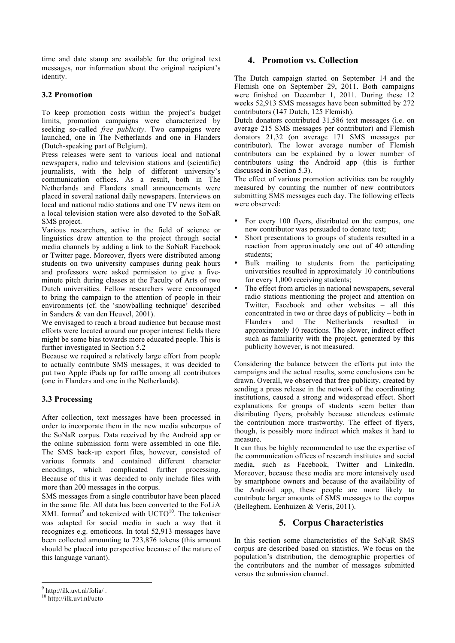time and date stamp are available for the original text messages, nor information about the original recipient's identity.

### **3.2 Promotion**

To keep promotion costs within the project's budget limits, promotion campaigns were characterized by seeking so-called *free publicity*. Two campaigns were launched, one in The Netherlands and one in Flanders (Dutch-speaking part of Belgium).

Press releases were sent to various local and national newspapers, radio and television stations and (scientific) journalists, with the help of different university's communication offices. As a result, both in The Netherlands and Flanders small announcements were placed in several national daily newspapers. Interviews on local and national radio stations and one TV news item on a local television station were also devoted to the SoNaR SMS project.

Various researchers, active in the field of science or linguistics drew attention to the project through social media channels by adding a link to the SoNaR Facebook or Twitter page. Moreover, flyers were distributed among students on two university campuses during peak hours and professors were asked permission to give a fiveminute pitch during classes at the Faculty of Arts of two Dutch universities. Fellow researchers were encouraged to bring the campaign to the attention of people in their environments (cf. the 'snowballing technique' described in Sanders & van den Heuvel, 2001).

We envisaged to reach a broad audience but because most efforts were located around our proper interest fields there might be some bias towards more educated people. This is further investigated in Section 5.2

Because we required a relatively large effort from people to actually contribute SMS messages, it was decided to put two Apple iPads up for raffle among all contributors (one in Flanders and one in the Netherlands).

### **3.3 Processing**

After collection, text messages have been processed in order to incorporate them in the new media subcorpus of the SoNaR corpus. Data received by the Android app or the online submission form were assembled in one file. The SMS back-up export files, however, consisted of various formats and contained different character encodings, which complicated further processing. Because of this it was decided to only include files with more than 200 messages in the corpus.

SMS messages from a single contributor have been placed in the same file. All data has been converted to the FoLiA  $XML format<sup>9</sup>$  and tokenized with UCTO<sup>10</sup>. The tokeniser was adapted for social media in such a way that it recognizes e.g. emoticons. In total 52,913 messages have been collected amounting to 723,876 tokens (this amount should be placed into perspective because of the nature of this language variant).

## **4. Promotion vs. Collection**

The Dutch campaign started on September 14 and the Flemish one on September 29, 2011. Both campaigns were finished on December 1, 2011. During these 12 weeks 52,913 SMS messages have been submitted by 272 contributors (147 Dutch, 125 Flemish).

Dutch donators contributed 31,586 text messages (i.e. on average 215 SMS messages per contributor) and Flemish donators 21,32 (on average 171 SMS messages per contributor). The lower average number of Flemish contributors can be explained by a lower number of contributors using the Android app (this is further discussed in Section 5.3).

The effect of various promotion activities can be roughly measured by counting the number of new contributors submitting SMS messages each day. The following effects were observed:

- For every 100 flyers, distributed on the campus, one new contributor was persuaded to donate text;
- Short presentations to groups of students resulted in a reaction from approximately one out of 40 attending students;
- Bulk mailing to students from the participating universities resulted in approximately 10 contributions for every 1,000 receiving students;
- The effect from articles in national newspapers, several radio stations mentioning the project and attention on Twitter, Facebook and other websites – all this concentrated in two or three days of publicity – both in Flanders and The Netherlands resulted in approximately 10 reactions. The slower, indirect effect such as familiarity with the project, generated by this publicity however, is not measured.

Considering the balance between the efforts put into the campaigns and the actual results, some conclusions can be drawn. Overall, we observed that free publicity, created by sending a press release in the network of the coordinating institutions, caused a strong and widespread effect. Short explanations for groups of students seem better than distributing flyers, probably because attendees estimate the contribution more trustworthy. The effect of flyers, though, is possibly more indirect which makes it hard to measure.

It can thus be highly recommended to use the expertise of the communication offices of research institutes and social media, such as Facebook, Twitter and LinkedIn. Moreover, because these media are more intensively used by smartphone owners and because of the availability of the Android app, these people are more likely to contribute larger amounts of SMS messages to the corpus (Belleghem, Eenhuizen & Veris, 2011).

## **5. Corpus Characteristics**

In this section some characteristics of the SoNaR SMS corpus are described based on statistics. We focus on the population's distribution, the demographic properties of the contributors and the number of messages submitted versus the submission channel.

 $\frac{9 \text{ http://ilk.uvt.nl/folia/}}{10 \text{ http://ilk.uvt.nl/ucto}}$ .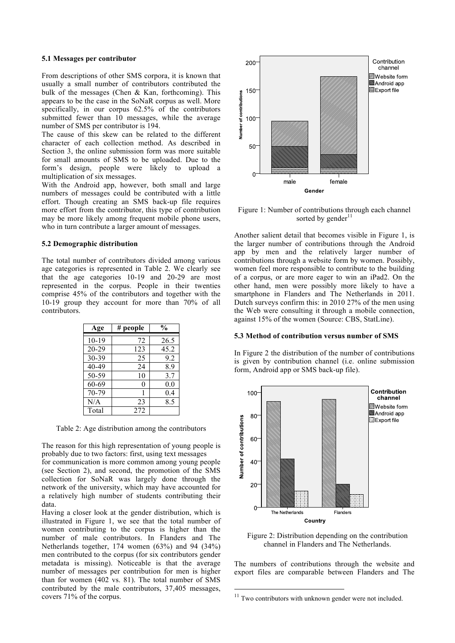#### **5.1 Messages per contributor**

From descriptions of other SMS corpora, it is known that usually a small number of contributors contributed the bulk of the messages (Chen & Kan, forthcoming). This appears to be the case in the SoNaR corpus as well. More specifically, in our corpus 62.5% of the contributors submitted fewer than 10 messages, while the average number of SMS per contributor is 194.

The cause of this skew can be related to the different character of each collection method. As described in Section 3, the online submission form was more suitable for small amounts of SMS to be uploaded. Due to the form's design, people were likely to upload a multiplication of six messages.

With the Android app, however, both small and large numbers of messages could be contributed with a little effort. Though creating an SMS back-up file requires more effort from the contributor, this type of contribution may be more likely among frequent mobile phone users, who in turn contribute a larger amount of messages.

#### **5.2 Demographic distribution**

The total number of contributors divided among various age categories is represented in Table 2. We clearly see that the age categories 10-19 and 20-29 are most represented in the corpus. People in their twenties comprise 45% of the contributors and together with the 10-19 group they account for more than 70% of all contributors.

| Age       | # people | $\frac{0}{0}$ |
|-----------|----------|---------------|
|           |          |               |
| $10 - 19$ | 72       | 26.5          |
| $20 - 29$ | 123      | 45.2          |
| 30-39     | 25       | 9.2           |
| $40 - 49$ | 24       | 8.9           |
| 50-59     | 10       | 3.7           |
| 60-69     | $\theta$ | 0.0           |
| 70-79     |          | 0.4           |
| N/A       | 23       | 8.5           |
| Total     | 272      |               |

Table 2: Age distribution among the contributors

The reason for this high representation of young people is probably due to two factors: first, using text messages

for communication is more common among young people (see Section 2), and second, the promotion of the SMS collection for SoNaR was largely done through the network of the university, which may have accounted for a relatively high number of students contributing their data.

Having a closer look at the gender distribution, which is illustrated in Figure 1, we see that the total number of women contributing to the corpus is higher than the number of male contributors. In Flanders and The Netherlands together, 174 women (63%) and 94 (34%) men contributed to the corpus (for six contributors gender metadata is missing). Noticeable is that the average number of messages per contribution for men is higher than for women (402 vs. 81). The total number of SMS contributed by the male contributors, 37,405 messages, covers 71% of the corpus.



Figure 1: Number of contributions through each channel sorted by gender<sup>11</sup>

Another salient detail that becomes visible in Figure 1, is the larger number of contributions through the Android app by men and the relatively larger number of contributions through a website form by women. Possibly, women feel more responsible to contribute to the building of a corpus, or are more eager to win an iPad2. On the other hand, men were possibly more likely to have a smartphone in Flanders and The Netherlands in 2011. Dutch surveys confirm this: in 2010 27% of the men using the Web were consulting it through a mobile connection, against 15% of the women (Source: CBS, StatLine).

#### **5.3 Method of contribution versus number of SMS**

In Figure 2 the distribution of the number of contributions is given by contribution channel (i.e. online submission form, Android app or SMS back-up file).



Figure 2: Distribution depending on the contribution channel in Flanders and The Netherlands.

The numbers of contributions through the website and export files are comparable between Flanders and The

<sup>&</sup>lt;sup>11</sup> Two contributors with unknown gender were not included.